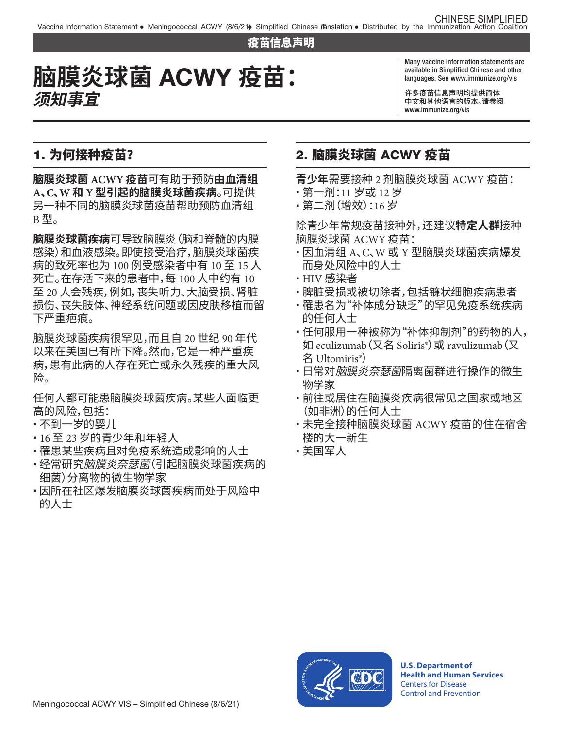#### 疫苗信息声明

# 脑膜炎球菌 ACWY 疫苗: **须知事宜**

Many vaccine information statements are languages. See [www.immunize.org/vis](http://www.immunize.org/vis)

许多疫苗信息声明均提供简体 中文和其他语言的版本。请参阅 [www.immunize.org/vis](http://www.immunize.org/vis) 

## 1. 为何接种疫苗?

 另一种不同的脑膜炎球菌疫苗帮助预防血清组 **脑膜炎球菌 ACWY 疫苗**可有助于预防**由血清组 A、C、W 和 Y 型引起的脑膜炎球菌疾病**。可提供 B 型。

**脑膜炎球菌疾病**可导致脑膜炎(脑和脊髓的内膜 感染)和血液感染。即使接受治疗,脑膜炎球菌疾 病的致死率也为 100 例受感染者中有 10 至 15 人 死亡。在存活下来的患者中,每 100 人中约有 10 至 20 人会残疾,例如,丧失听力、大脑受损、肾脏 损伤、丧失肢体、神经系统问题或因皮肤移植而留 下严重疤痕。

脑膜炎球菌疾病很罕见,而且自 20 世纪 90 年代 以来在美国已有所下降。然而,它是一种严重疾 病,患有此病的人存在死亡或永久残疾的重大风 险。

任何人都可能患脑膜炎球菌疾病。某些人面临更 高的风险,包括:

- 不到一岁的婴儿
- � 16 至 23 岁的青少年和年轻人
- 罹患某些疾病且对免疫系统造成影响的人士
- 经常研究*脑膜炎奈瑟菌* (引起脑膜炎球菌疾病的 细菌)分离物的微生物学家
- 因所在社区爆发脑膜炎球菌疾病而处于风险中 的人士

#### 2. 脑膜炎球菌 ACWY 疫苗

**青少年**需要接种 2 剂脑膜炎球菌 ACWY 疫苗:

- � 第一剂:11 岁或 12 岁
- � 第二剂(增效):16 岁

除青少年常规疫苗接种外,还建议**特定人群**接种 脑膜炎球菌 ACWY 疫苗:

- � 因血清组 A、C、W 或 Y 型脑膜炎球菌疾病爆发 而身处风险中的人士
- � HIV 感染者
- 脾脏受损或被切除者,包括镰状细胞疾病患者
- � 罹患名为"补体成分缺乏"的罕见免疫系统疾病 的任何人士
- 任何服用一种被称为"补体抑制剂"的药物的人, 如 eculizumab(又名 Soliris®)或 ravulizumab(又 名 Ultomiris®)
- 日常对*脑膜炎奈瑟菌*隔离菌群进行操作的微生 物学家
- •前往或居住在脑膜炎疾病很常见之国家或地区 (如非洲)的任何人士
- 未完全接种脑膜炎球菌 ACWY 疫苗的住在宿舍 楼的大一新生
- � 美国军人



**U.S. Department of Health and Human Services**  Centers for Disease Control and Prevention